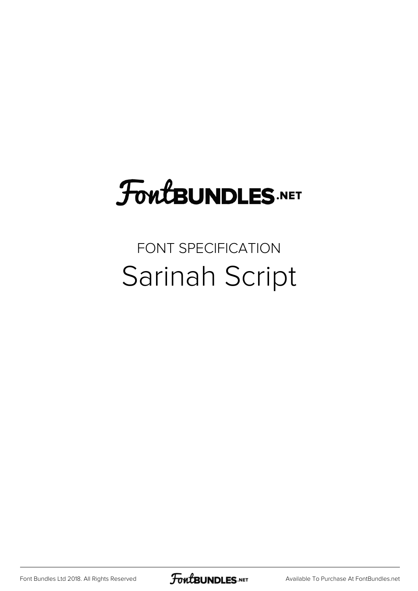## FoutBUNDLES.NET

### FONT SPECIFICATION Sarinah Script

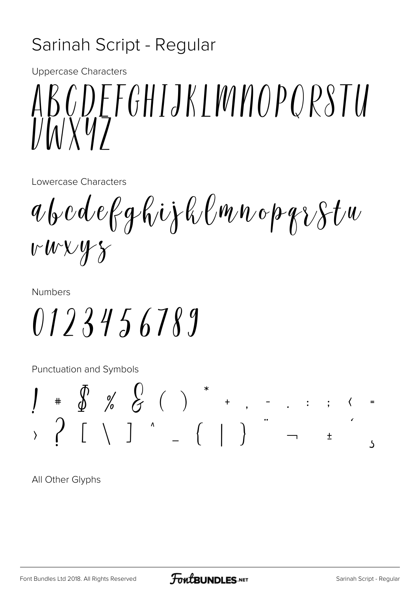#### Sarinah Script - Regular

Uppercase Characters

# ABCDEFGHIJKLMNOPQRSTU VWXYZ

Lowercase Characters

abcdefghijklmnopqrstu vwxyz

Numbers

0123456789

Punctuation and Symbols

$$
\begin{array}{ccccccccc}\n1 & * & \text{\AA} & \text{\AA} & \text{\AA} & \text{\AA} & \text{\AA} & \text{\AA} & \text{\AA} & \text{\AA} & \text{\AA} & \text{\AA} & \text{\AA} & \text{\AA} & \text{\AA} & \text{\AA} & \text{\AA} & \text{\AA} & \text{\AA} & \text{\AA} & \text{\AA} & \text{\AA} & \text{\AA} & \text{\AA} & \text{\AA} & \text{\AA} & \text{\AA} & \text{\AA} & \text{\AA} & \text{\AA} & \text{\AA} & \text{\AA} & \text{\AA} & \text{\AA} & \text{\AA} & \text{\AA} & \text{\AA} & \text{\AA} & \text{\AA} & \text{\AA} & \text{\AA} & \text{\AA} & \text{\AA} & \text{\AA} & \text{\AA} & \text{\AA} & \text{\AA} & \text{\AA} & \text{\AA} & \text{\AA} & \text{\AA} & \text{\AA} & \text{\AA} & \text{\AA} & \text{\AA} & \text{\AA} & \text{\AA} & \text{\AA} & \text{\AA} & \text{\AA} & \text{\AA} & \text{\AA} & \text{\AA} & \text{\AA} & \text{\AA} & \text{\AA} & \text{\AA} & \text{\AA} & \text{\AA} & \text{\AA} & \text{\AA} & \text{\AA} & \text{\AA} & \text{\AA} & \text{\AA} & \text{\AA} & \text{\AA} & \text{\AA} & \text{\AA} & \text{\AA} & \text{\AA} & \text{\AA} & \text{\AA} & \text{\AA} & \text{\AA} & \text{\AA} & \text{\AA} & \text{\AA} & \text{\AA} & \text{\AA} & \text{\AA} & \text{\AA} & \text{\AA} & \text{\AA} & \text{\AA} & \text{\AA} & \text{\AA} & \text{\AA} & \text{\AA} & \text{\AA} & \text{\AA} & \text{\AA} & \text{\AA} & \text{\AA} & \text{\AA} & \text{\AA} & \text{\AA} & \text{\AA} & \text{\AA} & \text{\AA} & \text{\AA} & \text{\AA} & \text{\AA} & \text{\AA} & \text{\AA} & \text{\AA} & \text{\AA} & \text{\AA} & \text{\AA} & \text{\AA} & \text{\AA} & \text{\AA} & \text{\AA} & \text{\AA} & \text{\AA} & \text{\AA} & \text
$$

All Other Glyphs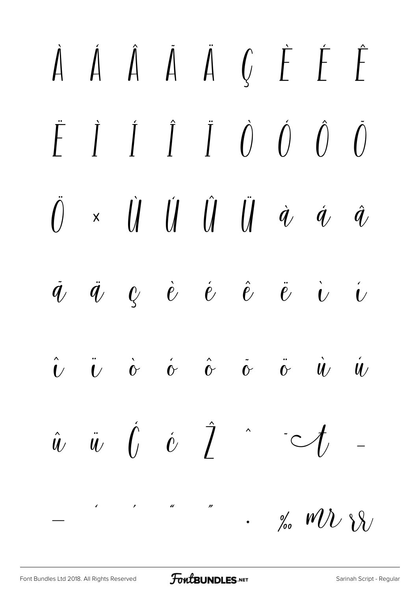#### À Á Â Ã Ä Ç È É Ê  $\int \int \int \tilde{J} \tilde{J} \tilde{J} \tilde{J} \tilde{J} \tilde{J} \tilde{J} \tilde{J} \tilde{J}$ F  $\left( \right)$  $\iint \iint \iint \iint \phi \phi$  $\bigcap$  $\mathsf{X}$  $\hat{q}$  $\vec{Q}$   $\vec{e}$   $\vec{e}$   $\hat{e}$  $\ddot{\ell}$  $\tilde{q}$  $\ddot{q}$  $\ddot{\mathbf{c}}$  $\overline{\overset{.}{\boldsymbol{U}}}$  $\ddot{\iota}$  $\dot{\hat{c}}$   $\hat{\hat{c}}$   $\dot{\hat{c}}$  $\hat{\mathbf{U}}$  $\dot{\mathbf{c}}$  $\ddot{\hat{C}}$  $\dot{u}$  $\hat{\mathbf{u}}$  $\hat{u}$   $\hat{u}$   $\hat{U}$   $\hat{v}$   $\hat{I}$  $\sim$  $\mathcal{I}_{\scriptscriptstyle\diagup}$  $\cdot$  % MU \\\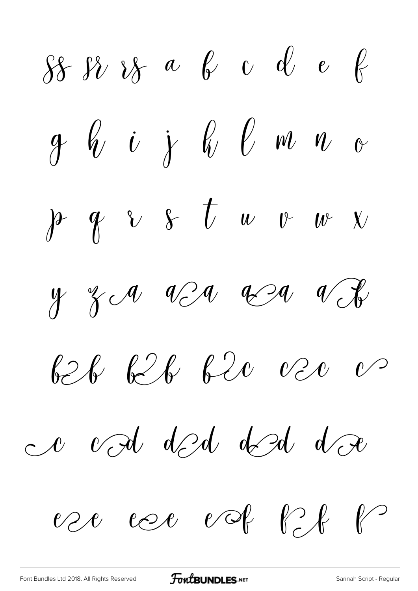$88888$  a b c d e f g bij bouwe  $p q v s t w v w$  $y$   $z \sim$   $v \sim$   $x \sim$   $v \sim$ 626 626 620 020 02 a vod ded ded do ese coe vot bit b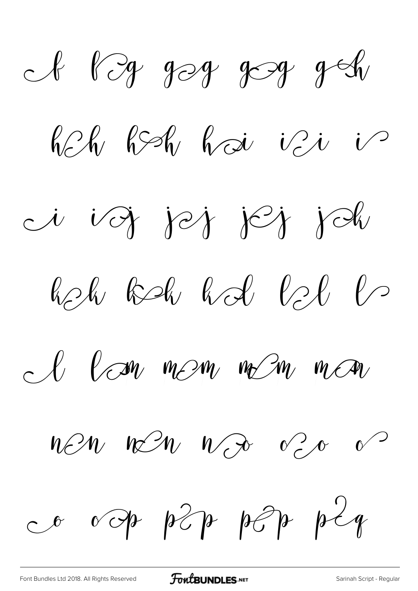A Pog gog gog g  $R-h$   $R-h$   $h$   $\sim$   $i$ i voj jej jej joh  $R_2$ l  $R_3$   $R_4$   $R_5$  $R_6$   $R_7$ I lan mem nem man  $n \mathcal{E} n$   $n \mathcal{E} n$   $n \mathcal{E}$   $\sigma$   $\sigma$ 

[Font Bundles Ltd 2018. All Rights Reserved](https://fontbundles.net/) **FoutBUNDLES.NET** [Sarinah Script - Regular](https://fontbundles.net/)